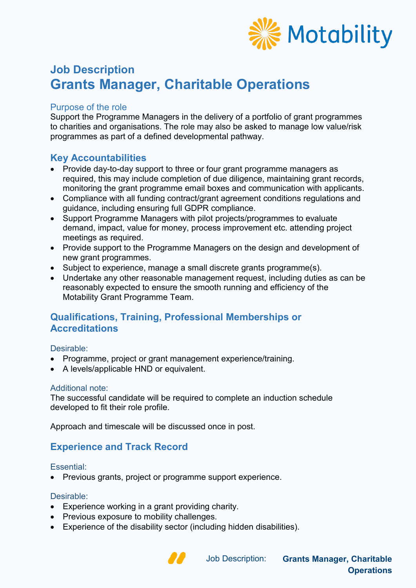

# **Job Description Grants Manager, Charitable Operations**

#### Purpose of the role

Support the Programme Managers in the delivery of a portfolio of grant programmes to charities and organisations. The role may also be asked to manage low value/risk programmes as part of a defined developmental pathway.

### **Key Accountabilities**

- Provide day-to-day support to three or four grant programme managers as required, this may include completion of due diligence, maintaining grant records, monitoring the grant programme email boxes and communication with applicants.
- Compliance with all funding contract/grant agreement conditions regulations and guidance, including ensuring full GDPR compliance.
- Support Programme Managers with pilot projects/programmes to evaluate demand, impact, value for money, process improvement etc. attending project meetings as required.
- Provide support to the Programme Managers on the design and development of new grant programmes.
- Subject to experience, manage a small discrete grants programme(s).
- Undertake any other reasonable management request, including duties as can be reasonably expected to ensure the smooth running and efficiency of the Motability Grant Programme Team.

### **Qualifications, Training, Professional Memberships or Accreditations**

#### Desirable:

- Programme, project or grant management experience/training.
- A levels/applicable HND or equivalent.

#### Additional note:

The successful candidate will be required to complete an induction schedule developed to fit their role profile.

Approach and timescale will be discussed once in post.

# **Experience and Track Record**

#### Essential:

• Previous grants, project or programme support experience.

#### Desirable:

- Experience working in a grant providing charity.
- Previous exposure to mobility challenges.
- Experience of the disability sector (including hidden disabilities).